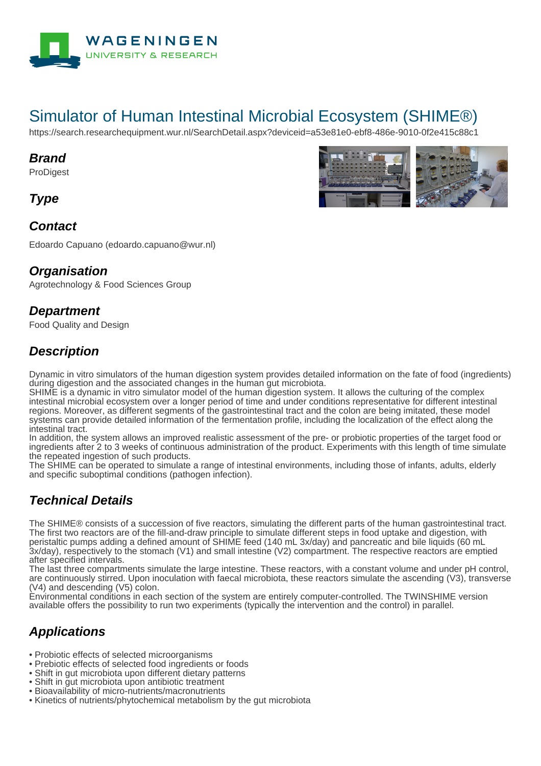

# Simulator of Human Intestinal Microbial Ecosystem (SHIME®)

https://search.researchequipment.wur.nl/SearchDetail.aspx?deviceid=a53e81e0-ebf8-486e-9010-0f2e415c88c1

#### **Brand**

**ProDigest** 

**Type**

### **Contact**

Edoardo Capuano (edoardo.capuano@wur.nl)

#### **Organisation**

Agrotechnology & Food Sciences Group

#### **Department**

Food Quality and Design

## **Description**

Dynamic in vitro simulators of the human digestion system provides detailed information on the fate of food (ingredients) during digestion and the associated changes in the human gut microbiota.

SHIME is a dynamic in vitro simulator model of the human digestion system. It allows the culturing of the complex intestinal microbial ecosystem over a longer period of time and under conditions representative for different intestinal regions. Moreover, as different segments of the gastrointestinal tract and the colon are being imitated, these model systems can provide detailed information of the fermentation profile, including the localization of the effect along the intestinal tract.

In addition, the system allows an improved realistic assessment of the pre- or probiotic properties of the target food or ingredients after 2 to 3 weeks of continuous administration of the product. Experiments with this length of time simulate the repeated ingestion of such products.

The SHIME can be operated to simulate a range of intestinal environments, including those of infants, adults, elderly and specific suboptimal conditions (pathogen infection).

## **Technical Details**

The SHIME® consists of a succession of five reactors, simulating the different parts of the human gastrointestinal tract. The first two reactors are of the fill-and-draw principle to simulate different steps in food uptake and digestion, with peristaltic pumps adding a defined amount of SHIME feed (140 mL 3x/day) and pancreatic and bile liquids (60 mL 3x/day), respectively to the stomach (V1) and small intestine (V2) compartment. The respective reactors are emptied after specified intervals.

The last three compartments simulate the large intestine. These reactors, with a constant volume and under pH control, are continuously stirred. Upon inoculation with faecal microbiota, these reactors simulate the ascending (V3), transverse (V4) and descending (V5) colon.

Environmental conditions in each section of the system are entirely computer-controlled. The TWINSHIME version available offers the possibility to run two experiments (typically the intervention and the control) in parallel.

## **Applications**

- Probiotic effects of selected microorganisms
- Prebiotic effects of selected food ingredients or foods
- Shift in gut microbiota upon different dietary patterns
- Shift in gut microbiota upon antibiotic treatment
- Bioavailability of micro-nutrients/macronutrients
- Kinetics of nutrients/phytochemical metabolism by the gut microbiota